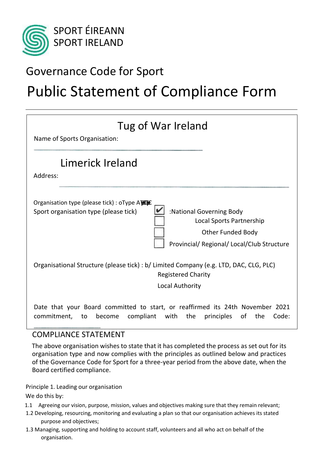

## Governance Code for Sport

# Public Statement of Compliance Form

| Tug of War Ireland<br>Name of Sports Organisation:                                                                                                                                                                       |
|--------------------------------------------------------------------------------------------------------------------------------------------------------------------------------------------------------------------------|
| Limerick Ireland<br>Address:                                                                                                                                                                                             |
| Organisation type (please tick) : oType ATEXE<br>:National Governing Body<br>Sport organisation type (please tick)<br>Local Sports Partnership<br><b>Other Funded Body</b><br>Provincial/ Regional/ Local/Club Structure |
| Organisational Structure (please tick) : b/ Limited Company (e.g. LTD, DAC, CLG, PLC)<br><b>Registered Charity</b><br><b>Local Authority</b>                                                                             |
| Date that your Board committed to start, or reaffirmed its 24th November 2021<br>with<br>of<br>commitment,<br>compliant<br>the<br>the<br>Code:<br>to<br>become<br>principles                                             |

### COMPLIANCE STATEMENT

The above organisation wishes to state that it has completed the process as set out for its organisation type and now complies with the principles as outlined below and practices of the Governance Code for Sport for a three-year period from the above date, when the Board certified compliance.

Principle 1. Leading our organisation We do this by:

- 1.1 Agreeing our vision, purpose, mission, values and objectives making sure that they remain relevant;
- 1.2 Developing, resourcing, monitoring and evaluating a plan so that our organisation achieves its stated purpose and objectives;
- 1.3 Managing, supporting and holding to account staff, volunteers and all who act on behalf of the organisation.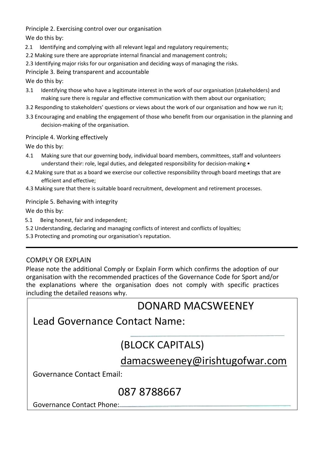Principle 2. Exercising control over our organisation

We do this by:

- 2.1 Identifying and complying with all relevant legal and regulatory requirements;
- 2.2 Making sure there are appropriate internal financial and management controls;
- 2.3 Identifying major risks for our organisation and deciding ways of managing the risks.

Principle 3. Being transparent and accountable

We do this by:

- 3.1 Identifying those who have a legitimate interest in the work of our organisation (stakeholders) and making sure there is regular and effective communication with them about our organisation;
- 3.2 Responding to stakeholders' questions or views about the work of our organisation and how we run it;
- 3.3 Encouraging and enabling the engagement of those who benefit from our organisation in the planning and decision-making of the organisation.

#### Principle 4. Working effectively

We do this by:

- 4.1 Making sure that our governing body, individual board members, committees, staff and volunteers understand their: role, legal duties, and delegated responsibility for decision-making •
- 4.2 Making sure that as a board we exercise our collective responsibility through board meetings that are efficient and effective;
- 4.3 Making sure that there is suitable board recruitment, development and retirement processes.

Principle 5. Behaving with integrity

We do this by:

- 5.1 Being honest, fair and independent;
- 5.2 Understanding, declaring and managing conflicts of interest and conflicts of loyalties;

5.3 Protecting and promoting our organisation's reputation.

### COMPLY OR EXPLAIN

Please note the additional Comply or Explain Form which confirms the adoption of our organisation with the recommended practices of the Governance Code for Sport and/or the explanations where the organisation does not comply with specific practices including the detailed reasons why.

## DONARD MACSWEENEY

### Lead Governance Contact Name:

## (BLOCK CAPITALS)

### damacsweeney@irishtugofwar.com

Governance Contact Email:

## 087 8788667

Governance Contact Phone: